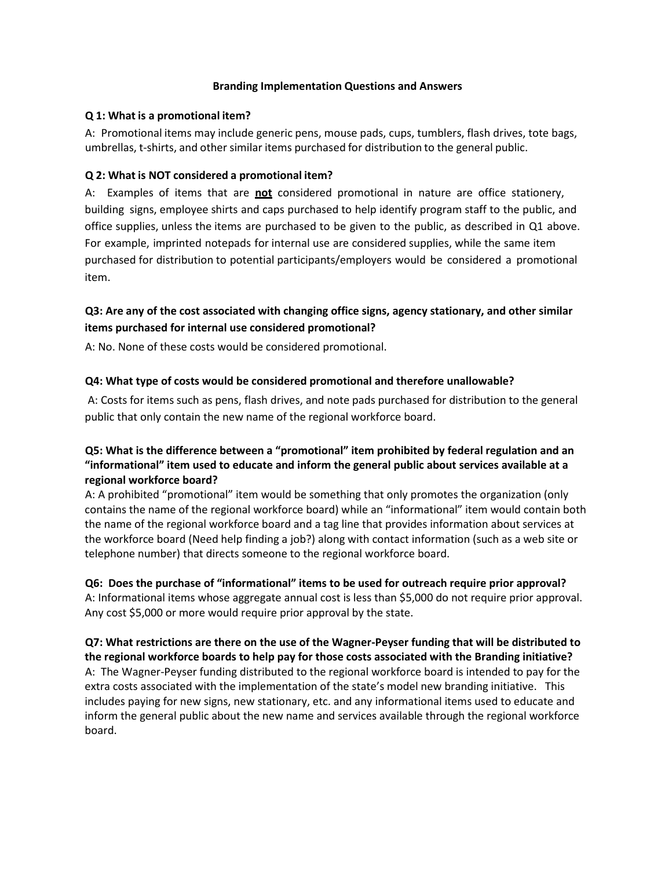### **Branding Implementation Questions and Answers**

### **Q 1: What is a promotional item?**

A: Promotional items may include generic pens, mouse pads, cups, tumblers, flash drives, tote bags, umbrellas, t‐shirts, and other similar items purchased for distribution to the general public.

## **Q 2: What is NOT considered a promotional item?**

A: Examples of items that are **not** considered promotional in nature are office stationery, building signs, employee shirts and caps purchased to help identify program staff to the public, and office supplies, unless the items are purchased to be given to the public, as described in Q1 above. For example, imprinted notepads for internal use are considered supplies, while the same item purchased for distribution to potential participants/employers would be considered a promotional item.

# **Q3: Are any of the cost associated with changing office signs, agency stationary, and other similar items purchased for internal use considered promotional?**

A: No. None of these costs would be considered promotional.

## **Q4: What type of costs would be considered promotional and therefore unallowable?**

A: Costs for items such as pens, flash drives, and note pads purchased for distribution to the general public that only contain the new name of the regional workforce board.

# **Q5: What is the difference between a "promotional" item prohibited by federal regulation and an "informational" item used to educate and inform the general public about services available at a regional workforce board?**

A: A prohibited "promotional" item would be something that only promotes the organization (only contains the name of the regional workforce board) while an "informational" item would contain both the name of the regional workforce board and a tag line that provides information about services at the workforce board (Need help finding a job?) along with contact information (such as a web site or telephone number) that directs someone to the regional workforce board.

**Q6: Does the purchase of "informational" items to be used for outreach require prior approval?** A: Informational items whose aggregate annual cost is less than \$5,000 do not require prior approval. Any cost \$5,000 or more would require prior approval by the state.

**Q7: What restrictions are there on the use of the Wagner-Peyser funding that will be distributed to the regional workforce boards to help pay for those costs associated with the Branding initiative?** A: The Wagner-Peyser funding distributed to the regional workforce board is intended to pay for the extra costs associated with the implementation of the state's model new branding initiative. This includes paying for new signs, new stationary, etc. and any informational items used to educate and inform the general public about the new name and services available through the regional workforce board.